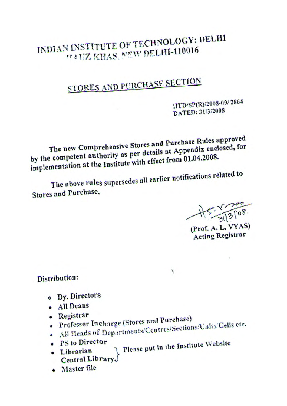## INDIAN INSTITUTE OF TECHNOLOGY: DELHI **TAUZ KHAS, NEW DELHI-110016**

# STORES AND PURCHASE SECTION

IITD/SP(R)/2008-09/2864 DATED: 31/3/2008

The new Comprehensive Stores and Purchase Rules approved by the competent authority as per details at Appendix enclosed, for implementation at the Institute with effect from 01.04.2008.

The above rules supersedes all earlier notifications related to Stores and Purchase.

 $+5.18108$ 

(Prof. A. L. VYAS) **Acting Registrar** 

Distribution:

- · Dy. Directors
- All Deans
- Registrar
- . Professor Incharge (Stores and Purchase) - All Heads of Departments/Centres/Sections/Units/Cells etc.
- 
- · PS to Director
- Please put in the Institute Website · Librarian Central Library.

 $\lambda$ 

· Master file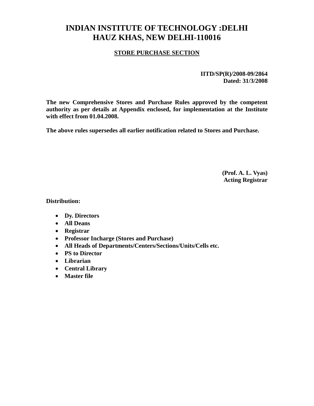### **INDIAN INSTITUTE OF TECHNOLOGY :DELHI HAUZ KHAS, NEW DELHI-110016**

#### **STORE PURCHASE SECTION**

**IITD/SP(R)/2008-09/2864 Dated: 31/3/2008** 

**The new Comprehensive Stores and Purchase Rules approved by the competent authority as per details at Appendix enclosed, for implementation at the Institute with effect from 01.04.2008.** 

**The above rules supersedes all earlier notification related to Stores and Purchase.**

**(Prof. A. L. Vyas) Acting Registrar**

**Distribution:**

- **Dy. Directors**
- **All Deans**
- **Registrar**
- **Professor Incharge (Stores and Purchase)**
- **All Heads of Departments/Centers/Sections/Units/Cells etc.**
- **PS to Director**
- **Librarian**
- **Central Library**
- **Master file**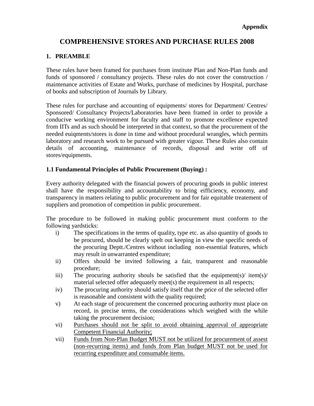#### **COMPREHENSIVE STORES AND PURCHASE RULES 2008**

#### **1. PREAMBLE**

These rules have been framed for purchases from institute Plan and Non-Plan funds and funds of sponsored / consultancy projects. These rules do not cover the construction / maintenance activities of Estate and Works, purchase of medicines by Hospital, purchase of books and subscription of Journals by Library.

These rules for purchase and accounting of equipments/ stores for Department/ Centres/ Sponsored/ Consultancy Projects/Laboratories have been framed in order to provide a conducive working environment for faculty and staff to promote excellence expected from IITs and as such should be interpreted in that context, so that the procurement of the needed euiqments/stores is done in time and without procedural wrangles, which permits laboratory and research work to be pursued with greater vigour. These Rules also contain details of accounting, maintenance of records, disposal and write off of stores/equipments.

#### **1.1 Fundamental Principles of Public Procurement (Buying) :**

Every authority delegated with the financial powers of procuring goods in public interest shall have the responsibility and accountability to bring eifficiency, economy, and transparency in matters relating to public procurement and for fair equitable treatement of suppliers and promotion of competition in public procurement.

The procedure to be followed in making public procurement must conform to the following yardsticks:

- i) The specifications in the terms of quality, type etc. as also quantity of goods to be procured, should be clearly spelt out keeping in view the specific needs of the procuring Deptt./Centres without including non-essential features, which may result in unwarranted expenditure;
- ii) Offers should be invited following a fair, transparent and reasonable procedure;
- iii) The procuring authority shouls be satisfied that the equipment(s)/ item(s)/ material selected offer adequately meet(s) the requirement in all respects;
- iv) The procuring authority should satisfy itself that the price of the selected offer is reasonable and consistent with the quality required;
- v) At each stage of procurement the concerned procuring authority must place on record, in precise terms, the considerations which weighed with the while taking the procurement decision;
- vi) Purchases should not be split to avoid obtaining approval of appropriate Competent Financial Authority;
- vii) Funds from Non-Plan Budget MUST not be utilized for procurement of assest (non-recurring items) and funds from Plan budget MUST not be used for recurring expenditure and consumable items.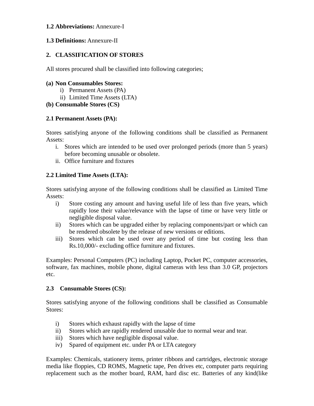#### **1.2 Abbreviations:** Annexure-I

#### **1.3 Definitions:** Annexure-II

#### **2. CLASSIFICATION OF STORES**

All stores procured shall be classified into following categories;

#### **(a) Non Consumables Stores:**

- i) Permanent Assets (PA)
- ii) Limited Time Assets (LTA)

#### **(b) Consumable Stores (CS)**

#### **2.1 Permanent Assets (PA):**

Stores satisfying anyone of the following conditions shall be classified as Permanent Assets:

- i. Stores which are intended to be used over prolonged periods (more than 5 years) before becoming unusable or obsolete.
- ii. Office furniture and fixtures

#### **2.2 Limited Time Assets (LTA):**

Stores satisfying anyone of the following conditions shall be classified as Limited Time Assets:

- i) Store costing any amount and having useful life of less than five years, which rapidly lose their value/relevance with the lapse of time or have very little or negligible disposal value.
- ii) Stores which can be upgraded either by replacing components/part or which can be rendered obsolete by the release of new versions or editions.
- iii) Stores which can be used over any period of time but costing less than Rs.10,000/- excluding office furniture and fixtures.

Examples: Personal Computers (PC) including Laptop, Pocket PC, computer accessories, software, fax machines, mobile phone, digital cameras with less than 3.0 GP, projectors etc.

#### **2.3 Consumable Stores (CS):**

Stores satisfying anyone of the following conditions shall be classified as Consumable Stores:

- i) Stores which exhaust rapidly with the lapse of time
- ii) Stores which are rapidly rendered unusable due to normal wear and tear.
- iii) Stores which have negligible disposal value.
- iv) Spared of equipment etc. under PA or LTA category

Examples: Chemicals, stationery items, printer ribbons and cartridges, electronic storage media like floppies, CD ROMS, Magnetic tape, Pen drives etc, computer parts requiring replacement such as the mother board, RAM, hard disc etc. Batteries of any kind(like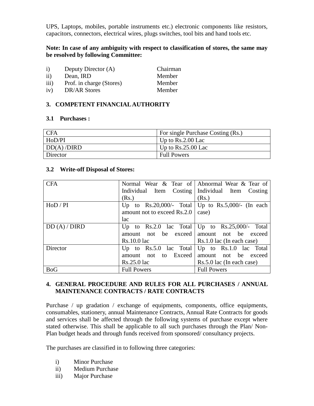UPS, Laptops, mobiles, portable instruments etc.) electronic components like resistors, capacitors, connectors, electrical wires, plugs switches, tool bits and hand tools etc.

#### **Note: In case of any ambiguity with respect to classification of stores, the same may be resolved by following Committee:**

| $\mathbf{i}$  | Deputy Director (A)      | Chairman |
|---------------|--------------------------|----------|
| $\mathbf{ii}$ | Dean, IRD                | Member   |
| iii)          | Prof. in charge (Stores) | Member   |
| iv)           | DR/AR Stores             | Member   |

#### **3. COMPETENT FINANCIAL AUTHORITY**

#### **3.1 Purchases :**

| <b>CFA</b> | For single Purchase Costing (Rs.) |
|------------|-----------------------------------|
| HoD/PI     | Up to $Rs.2.00$ Lac               |
| DD(A)/DIRD | Up to $Rs.25.00$ Lac              |
| Director   | <b>Full Powers</b>                |

#### **3.2 Write-off Disposal of Stores:**

| <b>CFA</b> |                                         | Normal Wear & Tear of Abnormal Wear & Tear of       |
|------------|-----------------------------------------|-----------------------------------------------------|
|            |                                         | Individual Item Costing   Individual Item Costing   |
|            | (Rs.)                                   | (Rs.)                                               |
| HoD / PI   |                                         | Up to Rs.20,000/- Total   Up to Rs.5,000/- (In each |
|            | amount not to exceed Rs.2.0             | case)                                               |
|            | lac                                     |                                                     |
| DD(A)/DIRD |                                         | Up to Rs.2.0 lac Total   Up to Rs.25,000/- Total    |
|            |                                         | amount not be exceed amount not be exceed           |
|            | $Rs.10.0$ lac                           | $Rs.1.0$ lac (In each case)                         |
| Director   | Up to $\operatorname{Rs.5.0}$ lac Total | Up to $Rs.1.0$ lac Total                            |
|            | amount not to Exceed                    | amount not be exceed                                |
|            | $Rs.25.0$ lac                           | $Rs.5.0$ lac (In each case)                         |
| <b>BoG</b> | <b>Full Powers</b>                      | <b>Full Powers</b>                                  |

#### **4. GENERAL PROCEDURE AND RULES FOR ALL PURCHASES / ANNUAL MAINTENANCE CONTRACTS / RATE CONTRACTS**

Purchase / up gradation / exchange of equipments, components, office equipments, consumables, stationery, annual Maintenance Contracts, Annual Rate Contracts for goods and services shall be affected through the following systems of purchase except where stated otherwise. This shall be applicable to all such purchases through the Plan/ Non-Plan budget heads and through funds received from sponsored/ consultancy projects.

The purchases are classified in to following three categories:

- i) Minor Purchase
- ii) Medium Purchase
- iii) Major Purchase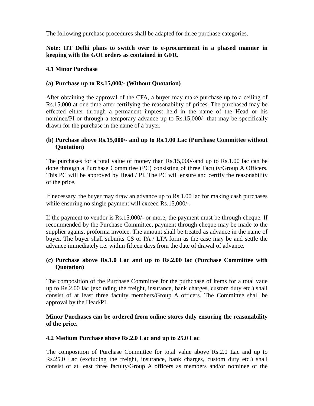The following purchase procedures shall be adapted for three purchase categories.

#### **Note: IIT Delhi plans to switch over to e-procurement in a phased manner in keeping with the GOI orders as contained in GFR.**

#### **4.1 Minor Purchase**

#### **(a) Purchase up to Rs.15,000/- (Without Quotation)**

After obtaining the approval of the CFA, a buyer may make purchase up to a ceiling of Rs.15,000 at one time after certifying the reasonability of prices. The purchased may be effected either through a permanent imprest held in the name of the Head or his nominee/PI or through a temporary advance up to Rs.15,000/- that may be specifically drawn for the purchase in the name of a buyer.

#### **(b) Purchase above Rs.15,000/- and up to Rs.1.00 Lac (Purchase Committee without Quotation)**

The purchases for a total value of money than Rs.15,000/-and up to Rs.1.00 lac can be done through a Purchase Committee (PC) consisting of three Faculty/Group A Officers. This PC will be approved by Head / PI. The PC will ensure and certify the reasonability of the price.

If necessary, the buyer may draw an advance up to Rs.1.00 lac for making cash purchases while ensuring no single payment will exceed Rs.15,000/-.

If the payment to vendor is Rs.15,000/- or more, the payment must be through cheque. If recommended by the Purchase Committee, payment through cheque may be made to the supplier against proforma invoice. The amount shall be treated as advance in the name of buyer. The buyer shall submits CS or PA / LTA form as the case may be and settle the advance immediately i.e. within fifteen days from the date of drawal of advance.

#### **(c) Purchase above Rs.1.0 Lac and up to Rs.2.00 lac (Purchase Committee with Quotation)**

The composition of the Purchase Committee for the purhchase of items for a total vaue up to Rs.2.00 lac (excluding the freight, insurance, bank charges, custom duty etc.) shall consist of at least three faculty members/Group A officers. The Committee shall be approval by the Head/PI.

#### **Minor Purchases can be ordered from online stores duly ensuring the reasonability of the price.**

#### **4.2 Medium Purchase above Rs.2.0 Lac and up to 25.0 Lac**

The composition of Purchase Committee for total value above Rs.2.0 Lac and up to Rs.25.0 Lac (excluding the freight, insurance, bank charges, custom duty etc.) shall consist of at least three faculty/Group A officers as members and/or nominee of the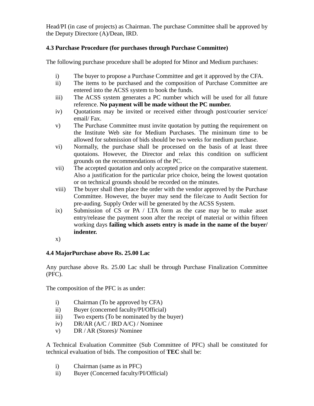Head/PI (in case of projects) as Chairman. The purchase Committee shall be approved by the Deputy Directore (A)/Dean, IRD.

#### **4.3 Purchase Procedure (for purchases through Purchase Committee)**

The following purchase procedure shall be adopted for Minor and Medium purchases:

- i) The buyer to propose a Purchase Committee and get it approved by the CFA.
- ii) The items to be purchased and the composition of Purchase Committee are entered into the ACSS system to book the funds.
- iii) The ACSS system generates a PC number which will be used for all future reference. **No payment will be made without the PC number.**
- iv) Quotations may be invited or received either through post/courier service/ email/ Fax.
- v) The Purchase Committee must invite quotation by putting the requirement on the Institute Web site for Medium Purchases. The minimum time to be allowed for submission of bids should be two weeks for medium purchase.
- vi) Normally, the purchase shall be processed on the basis of at least three quotaions. However, the Director and relax this condition on sufficient grounds on the recommendations of the PC.
- vii) The accepted quotation and only accepted price on the comparative statement. Also a justification for the particular price choice, being the lowest quotation or on technical grounds should be recorded on the minutes.
- viii) The buyer shall then place the order with the vendor approved by the Purchase Committee. However, the buyer may send the file/case to Audit Section for pre-auding. Supply Order will be generated by the ACSS System.
- ix) Submission of CS or PA / LTA form as the case may be to make asset entry/release the payment soon after the receipt of material or within fifteen working days **failing which assets entry is made in the name of the buyer/ indenter.**
- x)

#### **4.4 MajorPurchase above Rs. 25.00 Lac**

Any purchase above Rs. 25.00 Lac shall be through Purchase Finalization Committee (PFC).

The composition of the PFC is as under:

- i) Chairman (To be approved by CFA)
- ii) Buyer (concerned faculty/PI/Official)
- iii) Two experts (To be nominated by the buyer)
- iv) DR/AR (A/C / IRD A/C) / Nominee
- v) DR / AR (Stores)/ Nominee

A Technical Evaluation Committee (Sub Committee of PFC) shall be constituted for technical evaluation of bids. The composition of **TEC** shall be:

- i) Chairman (same as in PFC)
- ii) Buyer (Concerned faculty/PI/Official)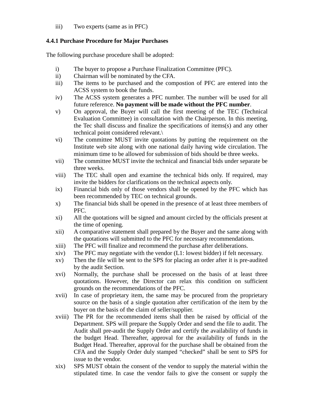iii) Two experts (same as in PFC)

#### **4.4.1 Purchase Procedure for Major Purchases**

The following purchase procedure shall be adopted:

- i) The buyer to propose a Purchase Finalization Committee (PFC).
- ii) Chairman will be nominated by the CFA.
- iii) The items to be purchased and the compostion of PFC are entered into the ACSS system to book the funds.
- iv) The ACSS system generates a PFC number. The number will be used for all future reference. **No payment will be made without the PFC number**.
- v) On approval, the Buyer will call the first meeting of the TEC (Technical Evaluation Committee) in consultation with the Chairperson. In this meeting, the Tec shall discuss and finalize the specifications of items(s) and any other technical point considered relevant.\
- vi) The committee MUST invite quotations by putting the requirement on the Institute web site along with one national daily having wide circulation. The minimum time to be allowed for submission of bids should be three weeks.
- vii) The committee MUST invite the technical and financial bids under separate be three weeks.
- viii) The TEC shall open and examine the technical bids only. If required, may invite the bidders for clarifications on the technical aspects only.
- ix) Financial bids only of those vendors shall be opened by the PFC which has been recommended by TEC on technical grounds.
- x) The financial bids shall be opened in the presence of at least three members of PFC.
- xi) All the quotations will be signed and amount circled by the officials present at the time of opening.
- xii) A comparative statement shall prepared by the Buyer and the same along with the quotations will submitted to the PFC for necessary recommendations.
- xiii) The PFC will finalize and recommend the purchase after deliberations.
- xiv) The PFC may negotiate with the vendor (L1: lowest bidder) if felt necessary.
- xv) Then the file will be sent to the SPS for placing an order after it is pre-audited by the audit Section.
- xvi) Normally, the purchase shall be processed on the basis of at least three quotations. However, the Director can relax this condition on sufficient grounds on the recommendations of the PFC.
- xvii) In case of proprietary item, the same may be procured from the proprietary source on the basis of a single quotation after certification of the item by the buyer on the basis of the claim of seller/supplier.
- xviii) The PR for the recommended items shall then be raised by official of the Department. SPS will prepare the Supply Order and send the file to audit. The Audit shall pre-audit the Supply Order and certify the availability of funds in the budget Head. Thereafter, approval for the availability of funds in the Budget Head. Thereafter, approval for the purchase shall be obtained from the CFA and the Supply Order duly stamped "checked" shall be sent to SPS for issue to the vendor.
- xix) SPS MUST obtain the consent of the vendor to supply the material within the stipulated time. In case the vendor fails to give the consent or supply the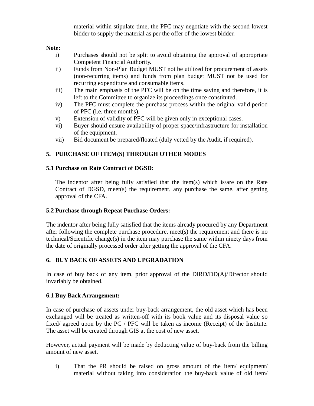material within stipulate time, the PFC may negotiate with the second lowest bidder to supply the material as per the offer of the lowest bidder.

#### **Note:**

- i) Purchases should not be split to avoid obtaining the approval of appropriate Competent Financial Authority.
- ii) Funds from Non-Plan Budget MUST not be utilized for procurement of assets (non-recurring items) and funds from plan budget MUST not be used for recurring expenditure and consumable items.
- iii) The main emphasis of the PFC will be on the time saving and therefore, it is left to the Committee to organize its proceedings once constituted.
- iv) The PFC must complete the purchase process within the original valid period of PFC (i.e. three months).
- v) Extension of validity of PFC will be given only in exceptional cases.
- vi) Buyer should ensure availability of proper space/infrastructure for installation of the equipment.
- vii) Bid document be prepared/floated (duly vetted by the Audit, if required).

#### **5. PURCHASE OF ITEM(S) THROUGH OTHER MODES**

#### **5.1 Purchase on Rate Contract of DGSD:**

The indentor after being fully satisfied that the item(s) which is/are on the Rate Contract of DGSD, meet(s) the requirement, any purchase the same, after getting approval of the CFA.

#### **5.2 Purchase through Repeat Purchase Orders:**

The indentor after being fully satisfied that the items already procured by any Department after following the complete purchase procedure, meet(s) the requirement and there is no technical/Scientific change(s) in the item may purchase the same within ninety days from the date of originally processed order after getting the approval of the CFA.

#### **6. BUY BACK OF ASSETS AND UPGRADATION**

In case of buy back of any item, prior approval of the DIRD/DD(A)/Director should invariably be obtained.

#### **6.1 Buy Back Arrangement:**

In case of purchase of assets under buy-back arrangement, the old asset which has been exchanged will be treated as written-off with its book value and its disposal value so fixed/ agreed upon by the PC / PFC will be taken as income (Receipt) of the Institute. The asset will be created through GIS at the cost of new asset.

However, actual payment will be made by deducting value of buy-back from the billing amount of new asset.

i) That the PR should be raised on gross amount of the item/ equipment/ material without taking into consideration the buy-back value of old item/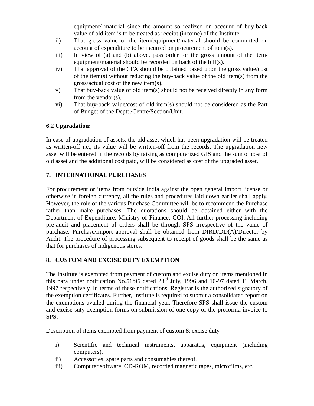equipment/ material since the amount so realized on account of buy-back value of old item is to be treated as receipt (income) of the Institute.

- ii) That gross value of the item/equipment/material should be committed on account of expenditure to be incurred on procurement of item(s).
- iii) In view of (a) and (b) above, pass order for the gross amount of the item/ equipment/material should be recorded on back of the bill(s).
- iv) That approval of the CFA should be obtained based upon the gross value/cost of the item(s) without reducing the buy-back value of the old item(s) from the gross/actual cost of the new item(s).
- v) That buy-back value of old item(s) should not be received directly in any form from the vendor(s).
- vi) That buy-back value/cost of old item(s) should not be considered as the Part of Budget of the Deptt./Centre/Section/Unit.

#### **6.2 Upgradation:**

In case of upgradation of assets, the old asset which has been upgradation will be treated as written-off i.e., its value will be written-off from the records. The upgradation new asset will be entered in the records by raising as computerized GIS and the sum of cost of old asset and the additional cost paid, will be considered as cost of the upgraded asset.

#### **7. INTERNATIONAL PURCHASES**

For procurement or items from outside India against the open general import license or otherwise in foreign currency, all the rules and procedures laid down earlier shall apply. However, the role of the various Purchase Committee will be to recommend the Purchase rather than make purchases. The quotations should be obtained either with the Department of Expenditure, Ministry of Finance, GOI. All further processing including pre-audit and placement of orders shall be through SPS irrespective of the value of purchase. Purchase/import approval shall be obtained from DIRD/DD(A)/Director by Audit. The procedure of processing subsequent to receipt of goods shall be the same as that for purchases of indigenous stores.

#### **8. CUSTOM AND EXCISE DUTY EXEMPTION**

The Institute is exempted from payment of custom and excise duty on items mentioned in this para under notification No.51/96 dated  $23<sup>rd</sup>$  July, 1996 and 10-97 dated 1<sup>st</sup> March, 1997 respectively. In terms of these notifications, Registrar is the authorized signatory of the exemption certificates. Further, Institute is required to submit a consolidated report on the exemptions availed during the financial year. Therefore SPS shall issue the custom and excise suty exemption forms on submission of one copy of the proforma invoice to SPS.

Description of items exempted from payment of custom & excise duty.

- i) Scientific and technical instruments, apparatus, equipment (including computers).
- ii) Accessories, spare parts and consumables thereof.
- iii) Computer software, CD-ROM, recorded magnetic tapes, microfilms, etc.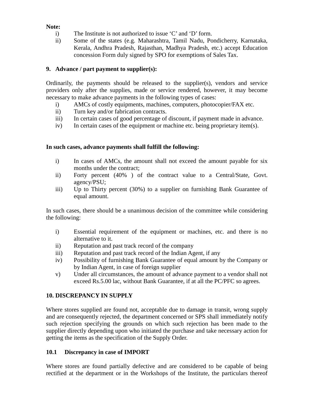#### **Note:**

- i) The Institute is not authorized to issue 'C' and 'D' form.
- ii) Some of the states (e.g. Maharashtra, Tamil Nadu, Pondicherry, Karnataka, Kerala, Andhra Pradesh, Rajasthan, Madhya Pradesh, etc.) accept Education concession Form duly signed by SPO for exemptions of Sales Tax.

#### **9. Advance / part payment to supplier(s):**

Ordinarily, the payments should be released to the supplier(s), vendors and service providers only after the supplies, made or service rendered, however, it may become necessary to make advance payments in the following types of cases:

- i) AMCs of costly equipments, machines, computers, photocopier/FAX etc.
- ii) Turn key and/or fabrication contracts.
- iii) In certain cases of good percentage of discount, if payment made in advance.
- iv) In certain cases of the equipment or machine etc. being proprietary item(s).

#### **In such cases, advance payments shall fulfill the following:**

- i) In cases of AMCs, the amount shall not exceed the amount payable for six months under the contract;
- ii) Forty percent (40% ) of the contract value to a Central/State, Govt. agency/PSU;
- iii) Up to Thirty percent (30%) to a supplier on furnishing Bank Guarantee of equal amount.

In such cases, there should be a unanimous decision of the committee while considering the following:

- i) Essential requirement of the equipment or machines, etc. and there is no alternative to it.
- ii) Reputation and past track record of the company
- iii) Reputation and past track record of the Indian Agent, if any
- iv) Possibility of furnishing Bank Guarantee of equal amount by the Company or by Indian Agent, in case of foreign supplier
- v) Under all circumstances, the amount of advance payment to a vendor shall not exceed Rs.5.00 lac, without Bank Guarantee, if at all the PC/PFC so agrees.

#### **10. DISCREPANCY IN SUPPLY**

Where stores supplied are found not, acceptable due to damage in transit, wrong supply and are consequently rejected, the department concerned or SPS shall immediately notify such rejection specifying the grounds on which such rejection has been made to the supplier directly depending upon who initiated the purchase and take necessary action for getting the items as the specification of the Supply Order.

#### **10.1 Discrepancy in case of IMPORT**

Where stores are found partially defective and are considered to be capable of being rectified at the department or in the Workshops of the Institute, the particulars thereof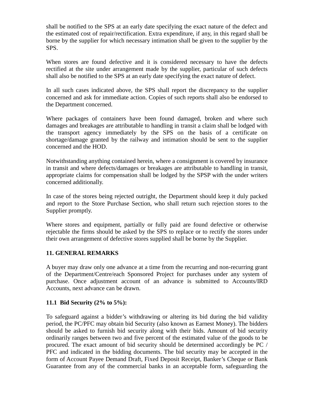shall be notified to the SPS at an early date specifying the exact nature of the defect and the estimated cost of repair/rectification. Extra expenditure, if any, in this regard shall be borne by the supplier for which necessary intimation shall be given to the supplier by the SPS.

When stores are found defective and it is considered necessary to have the defects rectified at the site under arrangement made by the supplier, particular of such defects shall also be notified to the SPS at an early date specifying the exact nature of defect.

In all such cases indicated above, the SPS shall report the discrepancy to the supplier concerned and ask for immediate action. Copies of such reports shall also be endorsed to the Department concerned.

Where packages of containers have been found damaged, broken and where such damages and breakages are attributable to handling in transit a claim shall be lodged with the transport agency immediately by the SPS on the basis of a certificate on shortage/damage granted by the railway and intimation should be sent to the supplier concerned and the HOD.

Notwithstanding anything contained herein, where a consignment is covered by insurance in transit and where defects/damages or breakages are attributable to handling in transit, appropriate claims for compensation shall be lodged by the SPSP with the under writers concerned additionally.

In case of the stores being rejected outright, the Department should keep it duly packed and report to the Store Purchase Section, who shall return such rejection stores to the Supplier promptly.

Where stores and equipment, partially or fully paid are found defective or otherwise rejectable the firms should be asked by the SPS to replace or to rectify the stores under their own arrangement of defective stores supplied shall be borne by the Supplier.

#### **11. GENERAL REMARKS**

A buyer may draw only one advance at a time from the recurring and non-recurring grant of the Department/Centre/each Sponsored Project for purchases under any system of purchase. Once adjustment account of an advance is submitted to Accounts/IRD Accounts, next advance can be drawn.

#### **11.1 Bid Security (2% to 5%):**

To safeguard against a bidder's withdrawing or altering its bid during the bid validity period, the PC/PFC may obtain bid Security (also known as Earnest Money). The bidders should be asked to furnish bid security along with their bids. Amount of bid security ordinarily ranges between two and five percent of the estimated value of the goods to be procured. The exact amount of bid security should be determined accordingly be PC / PFC and indicated in the bidding documents. The bid security may be accepted in the form of Account Payee Demand Draft, Fixed Deposit Receipt, Banker's Cheque or Bank Guarantee from any of the commercial banks in an acceptable form, safeguarding the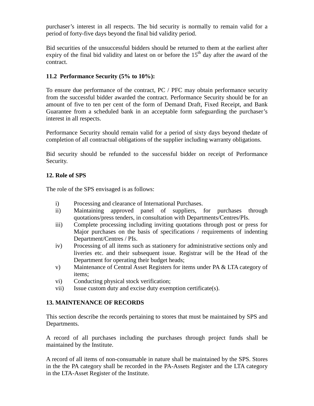purchaser's interest in all respects. The bid security is normally to remain valid for a period of forty-five days beyond the final bid validity period.

Bid securities of the unsuccessful bidders should be returned to them at the earliest after expiry of the final bid validity and latest on or before the  $15<sup>th</sup>$  day after the award of the contract.

#### **11.2 Performance Security (5% to 10%):**

To ensure due performance of the contract, PC / PFC may obtain performance security from the successful bidder awarded the contract. Performance Security should be for an amount of five to ten per cent of the form of Demand Draft, Fixed Receipt, and Bank Guarantee from a scheduled bank in an acceptable form safeguarding the purchaser's interest in all respects.

Performance Security should remain valid for a period of sixty days beyond thedate of completion of all contractual obligations of the supplier including warranty obligations.

Bid security should be refunded to the successful bidder on receipt of Performance Security.

#### **12. Role of SPS**

The role of the SPS envisaged is as follows:

- i) Processing and clearance of International Purchases.
- ii) Maintaining approved panel of suppliers, for purchases through quotations/press tenders, in consultation with Departments/Centres/PIs.
- iii) Complete processing including inviting quotations through post or press for Major purchases on the basis of specifications / requirements of indenting Department/Centres / PIs.
- iv) Processing of all items such as stationery for administrative sections only and liveries etc. and their subsequent issue. Registrar will be the Head of the Department for operating their budget heads;
- v) Maintenance of Central Asset Registers for items under PA & LTA category of items;
- vi) Conducting physical stock verification;
- vii) Issue custom duty and excise duty exemption certificate(s).

#### **13. MAINTENANCE OF RECORDS**

This section describe the records pertaining to stores that must be maintained by SPS and Departments.

A record of all purchases including the purchases through project funds shall be maintained by the Institute.

A record of all items of non-consumable in nature shall be maintained by the SPS. Stores in the the PA category shall be recorded in the PA-Assets Register and the LTA category in the LTA-Asset Register of the Institute.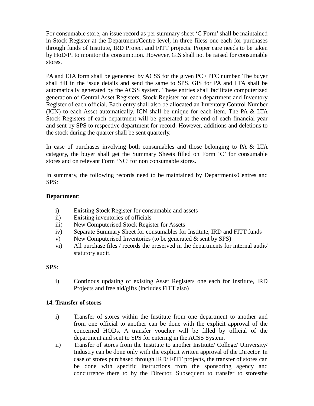For consumable store, an issue record as per summary sheet 'C Form' shall be maintained in Stock Register at the Department/Centre level, in three filess one each for purchases through funds of Institute, IRD Project and FITT projects. Proper care needs to be taken by HoD/PI to monitor the consumption. However, GIS shall not be raised for consumable stores.

PA and LTA form shall be generated by ACSS for the given PC / PFC number. The buyer shall fill in the issue details and send the same to SPS. GIS for PA and LTA shall be automatically generated by the ACSS system. These entries shall facilitate computerized generation of Central Asset Registers, Stock Register for each department and Inventory Register of each official. Each entry shall also be allocated an Inventory Control Number (ICN) to each Asset automatically. ICN shall be unique for each item. The PA & LTA Stock Registers of each department will be generated at the end of each financial year and sent by SPS to respective department for record. However, additions and deletions to the stock during the quarter shall be sent quarterly.

In case of purchases involving both consumables and those belonging to PA & LTA category, the buyer shall get the Summary Sheets filled on Form 'C' for consumable stores and on relevant Form 'NC' for non consumable stores.

In summary, the following records need to be maintained by Departments/Centres and SPS:

#### **Department**:

- i) Existing Stock Register for consumable and assets
- ii) Existing inventories of officials
- iii) New Computerised Stock Register for Assets
- iv) Separate Summary Sheet for consumables for Institute, IRD and FITT funds
- v) New Computerised Inventories (to be generated  $\&$  sent by SPS)
- vi) All purchase files / records the preserved in the departments for internal audit/ statutory audit.

#### **SPS**:

i) Continous updating of existing Asset Registers one each for Institute, IRD Projects and free aid/gifts (includes FITT also)

#### **14. Transfer of stores**

- i) Transfer of stores within the Institute from one department to another and from one official to another can be done with the explicit approval of the concerned HODs. A transfer voucher will be filled by official of the department and sent to SPS for entering in the ACSS System.
- ii) Transfer of stores from the Institute to another Institute/ College/ University/ Industry can be done only with the explicit written approval of the Director. In case of stores purchased through IRD/ FITT projects, the transfer of stores can be done with specific instructions from the sponsoring agency and concurrence there to by the Director. Subsequent to transfer to storesthe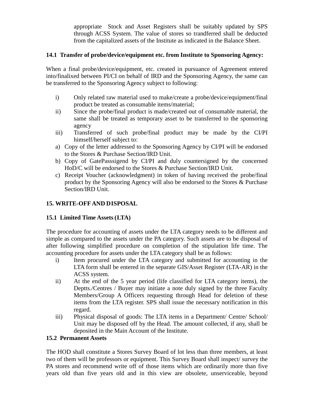appropriate Stock and Asset Registers shall be suitably updated by SPS through ACSS System. The value of stores so trandferred shall be deducted from the capitalized assets of the Institute as indicated in the Balance Sheet.

#### **14.1 Transfer of probe/device/equipment etc. from Institute to Sponsoring Agency:**

When a final probe/device/equipment, etc. created in pursuance of Agreement entered into/finalixed between PI/CI on behalf of IRD and the Sponsoring Agency, the same can be transferred to the Sponsoring Agency subject to following:

- i) Only related raw material used to make/create a probe/device/equipment/final product be treated as consumable items/material;
- ii) Since the probe/final product is made/created out of consumable material, the same shall be treated as temporary asset to be transferred to the sponsoring agency
- iii) Transferred of such probe/final product may be made by the CI/PI himself/herself subject to:
- a) Copy of the letter addressed to the Sponsoring Agency by CI/PI will be endorsed to the Stores & Purchase Section/IRD Unit.
- b) Copy of GatePasssigend by CI/PI and duly countersigned by the concerned HoD/C will be endorsed to the Stores & Purchase Section/IRD Unit.
- c) Receipt Voucher (acknowledgment) in token of having received the probe/final product by the Sponsoring Agency will also be endorsed to the Stores & Purchase Section/IRD Unit.

#### **15. WRITE-OFF AND DISPOSAL**

#### **15.1 Limited Time Assets (LTA)**

The procedure for accounting of assets under the LTA category needs to be different and simple as compared to the assets under the PA category. Such assets are to be disposal of after following simplified procedure on completion of the stipulation life time. The accounting procedure for assets under the LTA category shall be as follows:

- i) Item procured under the LTA category and submitted for accounting in the LTA form shall be entered in the separate GIS/Asset Register (LTA-AR) in the ACSS system.
- ii) At the end of the 5 year period (life classified for LTA category items), the Deptts./Centres / Buyer may initiate a note duly signed by the three Faculty Members/Group A Officers requesting through Head for deletion of these items from the LTA register. SPS shall issue the necessary notification in this regard.
- iii) Physical disposal of goods: The LTA items in a Department/ Centre/ School/ Unit may be disposed off by the Head. The amount collected, if any, shall be deposited in the Main Account of the Institute.

#### **15.2 Permanent Assets**

The HOD shall constitute a Stores Survey Board of lot less than three members, at least two of them will be professors or equipment. This Survey Board shall inspect/ survey the PA stores and recommend write off of those items which are ordinarily more than five years old than five years old and in this view are obsolete, unserviceable, beyond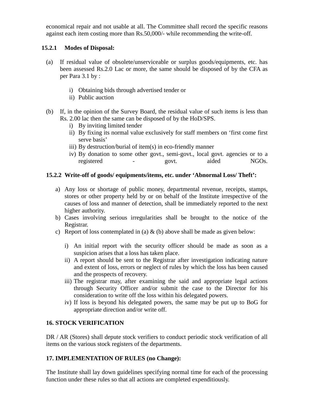economical repair and not usable at all. The Committee shall record the specific reasons against each item costing more than Rs.50,000/- while recommending the write-off.

#### **15.2.1 Modes of Disposal:**

- (a) If residual value of obsolete/unserviceable or surplus goods/equipments, etc. has been assessed Rs.2.0 Lac or more, the same should be disposed of by the CFA as per Para 3.1 by :
	- i) Obtaining bids through advertised tender or
	- ii) Public auction
- (b) If, in the opinion of the Survey Board, the residual value of such items is less than Rs. 2.00 lac then the same can be disposed of by the HoD/SPS.
	- i) By inviting limited tender
	- ii) By fixing its normal value exclusively for staff members on 'first come first serve basis'
	- iii) By destruction/burial of item(s) in eco-friendly manner
	- iv) By donation to some other govt., semi-govt., local govt. agencies or to a registered - govt. aided NGOs.

#### **15.2.2 Write-off of goods/ equipments/items, etc. under 'Abnormal Loss/ Theft':**

- a) Any loss or shortage of public money, departmental revenue, receipts, stamps, stores or other property held by or on behalf of the Institute irrespective of the causes of loss and manner of detection, shall be immediately reported to the next higher authority.
- b) Cases involving serious irregularities shall be brought to the notice of the Registrar.
- c) Report of loss contemplated in (a) & (b) above shall be made as given below:
	- i) An initial report with the security officer should be made as soon as a suspicion arises that a loss has taken place.
	- ii) A report should be sent to the Registrar after investigation indicating nature and extent of loss, errors or neglect of rules by which the loss has been caused and the prospects of recovery.
	- iii) The registrar may, after examining the said and appropriate legal actions through Security Officer and/or submit the case to the Director for his consideration to write off the loss within his delegated powers.
	- iv) If loss is beyond his delegated powers, the same may be put up to BoG for appropriate direction and/or write off.

#### **16. STOCK VERIFICATION**

DR / AR (Stores) shall depute stock verifiers to conduct periodic stock verification of all items on the various stock registers of the departments.

#### **17. IMPLEMENTATION OF RULES (no Change):**

The Institute shall lay down guidelines specifying normal time for each of the processing function under these rules so that all actions are completed expenditiously.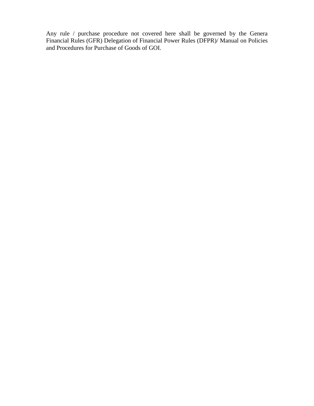Any rule / purchase procedure not covered here shall be governed by the Genera Financial Rules (GFR) Delegation of Financial Power Rules (DFPR)/ Manual on Policies and Procedures for Purchase of Goods of GOI.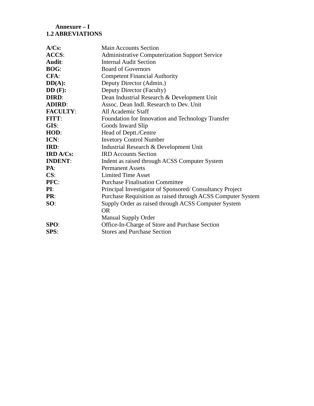#### **Annexure – I 1.2 ABREVIATIONS**

| $A/Cs$ :         | <b>Main Accounts Section</b>                                |
|------------------|-------------------------------------------------------------|
| ACCS:            | <b>Administrative Computerization Support Service</b>       |
| Audit:           | <b>Internal Audit Section</b>                               |
| <b>BOG:</b>      | <b>Board of Governors</b>                                   |
| $CFA$ :          | <b>Competent Financial Authority</b>                        |
| $DD(A)$ :        | Deputy Director (Admin.)                                    |
| $DD(F)$ :        | Deputy Director (Faculty)                                   |
| <b>DIRD:</b>     | Dean Industrial Research & Development Unit                 |
| <b>ADIRD:</b>    | Assoc. Dean Indl. Research to Dev. Unit                     |
| <b>FACULTY:</b>  | All Academic Staff                                          |
| <b>FITT:</b>     | Foundation for Innovation and Technology Transfer           |
| GIS:             | Goods Inward Slip                                           |
| HOD:             | Head of Deptt./Centre                                       |
| ICN:             | <b>Invetory Control Number</b>                              |
| IRD:             | Industrial Research & Development Unit                      |
| <b>IRD A/Cs:</b> | <b>IRD</b> Accounts Section                                 |
| <b>INDENT:</b>   | Indent as raised through ACSS Computer System               |
| PA:              | <b>Permanent Assets</b>                                     |
| CS:              | <b>Limited Time Asset</b>                                   |
| PFC:             | <b>Purchase Finalisation Committee</b>                      |
| PI:              | Principal Investigator of Sponsored/Consultancy Project     |
| PR:              | Purchase Requisition as raised through ACSS Computer System |
| SO:              | Supply Order as raised through ACSS Computer System         |
|                  | OR.                                                         |
|                  | <b>Manual Supply Order</b>                                  |
| SPO:             | Office-In-Charge of Store and Purchase Section              |
| SPS:             | <b>Stores and Purchase Section</b>                          |